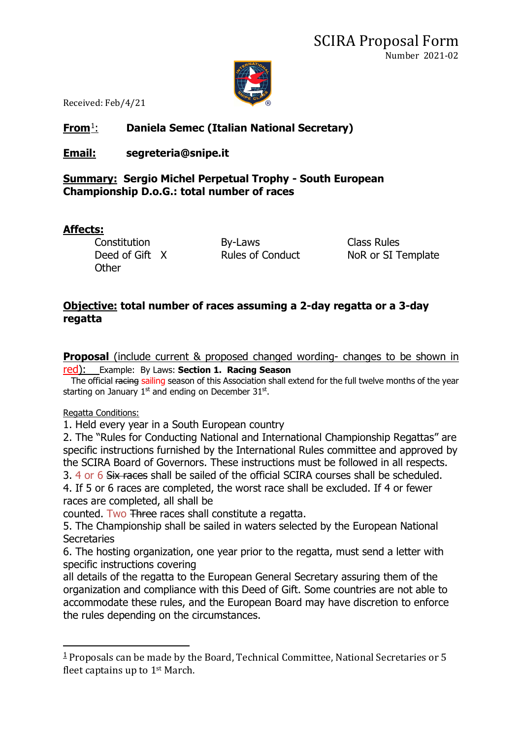

Received: Feb/4/21

# **From**[1](#page-0-0): **Daniela Semec (Italian National Secretary)**

## **Email: segreteria@snipe.it**

### **Summary: Sergio Michel Perpetual Trophy - South European Championship D.o.G.: total number of races**

#### **Affects:**

Constitution By-Laws Class Rules<br>
Deed of Gift X Rules of Conduct NoR or SI T **Other** 

NoR or SI Template

### **Objective: total number of races assuming a 2-day regatta or a 3-day regatta**

**Proposal** (include current & proposed changed wording- changes to be shown in red): Example: By Laws: **Section 1. Racing Season**

The official racing sailing season of this Association shall extend for the full twelve months of the year starting on January  $1<sup>st</sup>$  and ending on December 31 $<sup>st</sup>$ .</sup>

#### Regatta Conditions:

1. Held every year in a South European country

2. The "Rules for Conducting National and International Championship Regattas" are specific instructions furnished by the International Rules committee and approved by the SCIRA Board of Governors. These instructions must be followed in all respects. 3. 4 or 6 Six races shall be sailed of the official SCIRA courses shall be scheduled.

4. If 5 or 6 races are completed, the worst race shall be excluded. If 4 or fewer races are completed, all shall be

counted. Two Three races shall constitute a regatta.

5. The Championship shall be sailed in waters selected by the European National **Secretaries** 

6. The hosting organization, one year prior to the regatta, must send a letter with specific instructions covering

all details of the regatta to the European General Secretary assuring them of the organization and compliance with this Deed of Gift. Some countries are not able to accommodate these rules, and the European Board may have discretion to enforce the rules depending on the circumstances.

<span id="page-0-0"></span> $1$  Proposals can be made by the Board, Technical Committee, National Secretaries or 5 fleet captains up to 1st March.